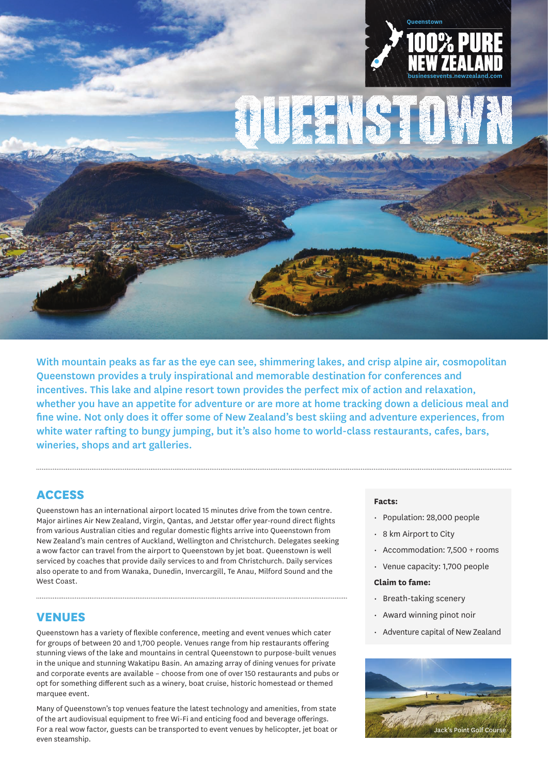

Queenstown provides a truly inspirational and memorable destination for conferences and incentives. This lake and alpine resort town provides the perfect mix of action and relaxation, whether you have an appetite for adventure or are more at home tracking down a delicious meal and fine wine. Not only does it offer some of New Zealand's best skiing and adventure experiences, from white water rafting to bungy jumping, but it's also home to world-class restaurants, cafes, bars, wineries, shops and art galleries.

With mountain peaks as far as the eye can see, shimmering lakes, and crisp alpine air, cosmopolitan

## **ACCESS**

Queenstown has an international airport located 15 minutes drive from the town centre. Major airlines Air New Zealand, Virgin, Qantas, and Jetstar offer year-round direct flights from various Australian cities and regular domestic flights arrive into Queenstown from New Zealand's main centres of Auckland, Wellington and Christchurch. Delegates seeking a wow factor can travel from the airport to Queenstown by jet boat. Queenstown is well serviced by coaches that provide daily services to and from Christchurch. Daily services also operate to and from Wanaka, Dunedin, Invercargill, Te Anau, Milford Sound and the West Coast.

## **VENUES**

Queenstown has a variety of flexible conference, meeting and event venues which cater for groups of between 20 and 1,700 people. Venues range from hip restaurants offering stunning views of the lake and mountains in central Queenstown to purpose-built venues in the unique and stunning Wakatipu Basin. An amazing array of dining venues for private and corporate events are available – choose from one of over 150 restaurants and pubs or opt for something different such as a winery, boat cruise, historic homestead or themed marquee event.

Many of Queenstown's top venues feature the latest technology and amenities, from state of the art audiovisual equipment to free Wi-Fi and enticing food and beverage offerings. For a real wow factor, guests can be transported to event venues by helicopter, jet boat or even steamship.

#### **Facts:**

- Population: 28,000 people
- 8 km Airport to City
- Accommodation: 7,500 + rooms
- Venue capacity: 1,700 people

#### **Claim to fame:**

- Breath-taking scenery
- Award winning pinot noir
- Adventure capital of New Zealand